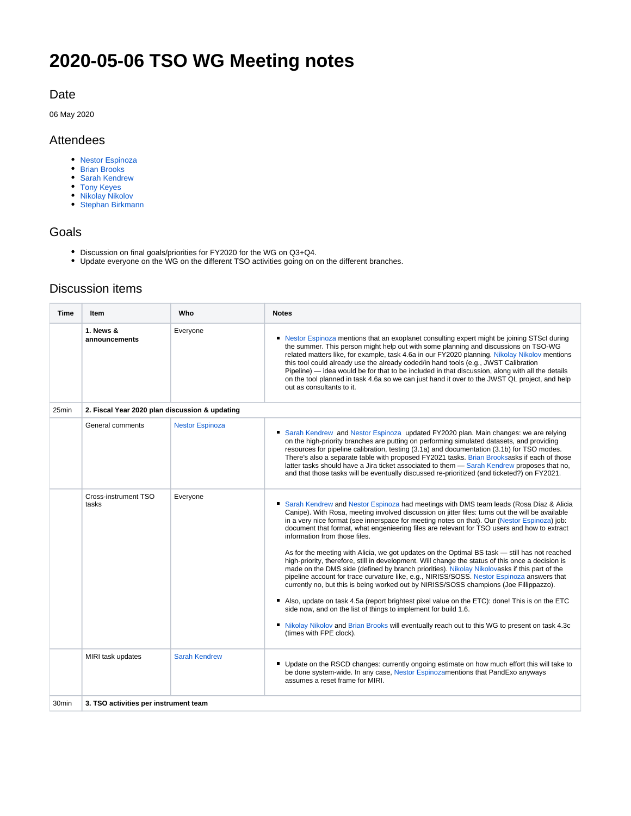# **2020-05-06 TSO WG Meeting notes**

## Date

06 May 2020

## Attendees

- [Nestor Espinoza](https://outerspace.stsci.edu/display/~nespinoza)
- [Brian Brooks](https://outerspace.stsci.edu/display/~bbrooks)
- [Sarah Kendrew](https://outerspace.stsci.edu/display/~skendrew)
- [Tony Keyes](https://outerspace.stsci.edu/display/~keyes) [Nikolay Nikolov](https://outerspace.stsci.edu/display/~nnikolov)
- [Stephan Birkmann](https://outerspace.stsci.edu/display/~birkmann)

#### Goals

- Discussion on final goals/priorities for FY2020 for the WG on Q3+Q4.
- Update everyone on the WG on the different TSO activities going on on the different branches.

# Discussion items

| <b>Time</b>       | Item                                           | Who                    | <b>Notes</b>                                                                                                                                                                                                                                                                                                                                                                                                                                                                                                                                                                                                                                                                                                                                                                                                                                                                                                                                                                                                                                                                                                                                                                                                               |
|-------------------|------------------------------------------------|------------------------|----------------------------------------------------------------------------------------------------------------------------------------------------------------------------------------------------------------------------------------------------------------------------------------------------------------------------------------------------------------------------------------------------------------------------------------------------------------------------------------------------------------------------------------------------------------------------------------------------------------------------------------------------------------------------------------------------------------------------------------------------------------------------------------------------------------------------------------------------------------------------------------------------------------------------------------------------------------------------------------------------------------------------------------------------------------------------------------------------------------------------------------------------------------------------------------------------------------------------|
|                   | 1. News &<br>announcements                     | Everyone               | • Nestor Espinoza mentions that an exoplanet consulting expert might be joining STScI during<br>the summer. This person might help out with some planning and discussions on TSO-WG<br>related matters like, for example, task 4.6a in our FY2020 planning. Nikolay Nikolov mentions<br>this tool could already use the already coded/in hand tools (e.g., JWST Calibration<br>Pipeline) — idea would be for that to be included in that discussion, along with all the details<br>on the tool planned in task 4.6a so we can just hand it over to the JWST QL project, and help<br>out as consultants to it.                                                                                                                                                                                                                                                                                                                                                                                                                                                                                                                                                                                                              |
| 25min             | 2. Fiscal Year 2020 plan discussion & updating |                        |                                                                                                                                                                                                                                                                                                                                                                                                                                                                                                                                                                                                                                                                                                                                                                                                                                                                                                                                                                                                                                                                                                                                                                                                                            |
|                   | General comments                               | <b>Nestor Espinoza</b> | Sarah Kendrew and Nestor Espinoza updated FY2020 plan. Main changes: we are relying<br>on the high-priority branches are putting on performing simulated datasets, and providing<br>resources for pipeline calibration, testing (3.1a) and documentation (3.1b) for TSO modes.<br>There's also a separate table with proposed FY2021 tasks. Brian Brooksasks if each of those<br>latter tasks should have a Jira ticket associated to them - Sarah Kendrew proposes that no,<br>and that those tasks will be eventually discussed re-prioritized (and ticketed?) on FY2021.                                                                                                                                                                                                                                                                                                                                                                                                                                                                                                                                                                                                                                                |
|                   | Cross-instrument TSO<br>tasks                  | Everyone               | Sarah Kendrew and Nestor Espinoza had meetings with DMS team leads (Rosa Díaz & Alicia<br>Canipe). With Rosa, meeting involved discussion on jitter files: turns out the will be available<br>in a very nice format (see innerspace for meeting notes on that). Our (Nestor Espinoza) job:<br>document that format, what engenieering files are relevant for TSO users and how to extract<br>information from those files.<br>As for the meeting with Alicia, we got updates on the Optimal BS task — still has not reached<br>high-priority, therefore, still in development. Will change the status of this once a decision is<br>made on the DMS side (defined by branch priorities). Nikolay Nikolovasks if this part of the<br>pipeline account for trace curvature like, e.g., NIRISS/SOSS. Nestor Espinoza answers that<br>currently no, but this is being worked out by NIRISS/SOSS champions (Joe Fillippazzo).<br>Also, update on task 4.5a (report brightest pixel value on the ETC): done! This is on the ETC<br>side now, and on the list of things to implement for build 1.6.<br>• Nikolay Nikolov and Brian Brooks will eventually reach out to this WG to present on task 4.3c<br>(times with FPE clock). |
|                   | MIRI task updates                              | <b>Sarah Kendrew</b>   | • Update on the RSCD changes: currently ongoing estimate on how much effort this will take to<br>be done system-wide. In any case, Nestor Espinozamentions that PandExo anyways<br>assumes a reset frame for MIRI.                                                                                                                                                                                                                                                                                                                                                                                                                                                                                                                                                                                                                                                                                                                                                                                                                                                                                                                                                                                                         |
| 30 <sub>min</sub> | 3. TSO activities per instrument team          |                        |                                                                                                                                                                                                                                                                                                                                                                                                                                                                                                                                                                                                                                                                                                                                                                                                                                                                                                                                                                                                                                                                                                                                                                                                                            |
|                   |                                                |                        |                                                                                                                                                                                                                                                                                                                                                                                                                                                                                                                                                                                                                                                                                                                                                                                                                                                                                                                                                                                                                                                                                                                                                                                                                            |